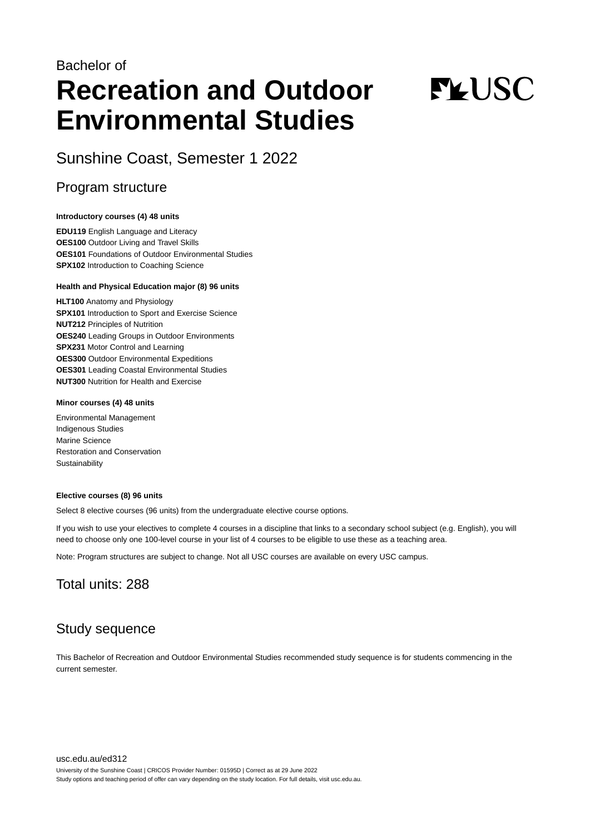## Bachelor of **Recreation and Outdoor Environmental Studies**

# **FLUSC**

Sunshine Coast, Semester 1 2022

## Program structure

#### **Introductory courses (4) 48 units**

**EDU119** English Language and Literacy **OES100** Outdoor Living and Travel Skills **OES101** Foundations of Outdoor Environmental Studies **SPX102** Introduction to Coaching Science

#### **Health and Physical Education major (8) 96 units**

**HLT100** Anatomy and Physiology **SPX101** Introduction to Sport and Exercise Science **NUT212** Principles of Nutrition **OES240** Leading Groups in Outdoor Environments **SPX231** Motor Control and Learning **OES300** Outdoor Environmental Expeditions **OES301** Leading Coastal Environmental Studies **NUT300** Nutrition for Health and Exercise

#### **Minor courses (4) 48 units**

Environmental Management Indigenous Studies Marine Science Restoration and Conservation **Sustainability** 

#### **Elective courses (8) 96 units**

Select 8 elective courses (96 units) from the undergraduate elective course options.

If you wish to use your electives to complete 4 courses in a discipline that links to a secondary school subject (e.g. English), you will need to choose only one 100-level course in your list of 4 courses to be eligible to use these as a teaching area.

Note: Program structures are subject to change. Not all USC courses are available on every USC campus.

## Total units: 288

## Study sequence

This Bachelor of Recreation and Outdoor Environmental Studies recommended study sequence is for students commencing in the current semester.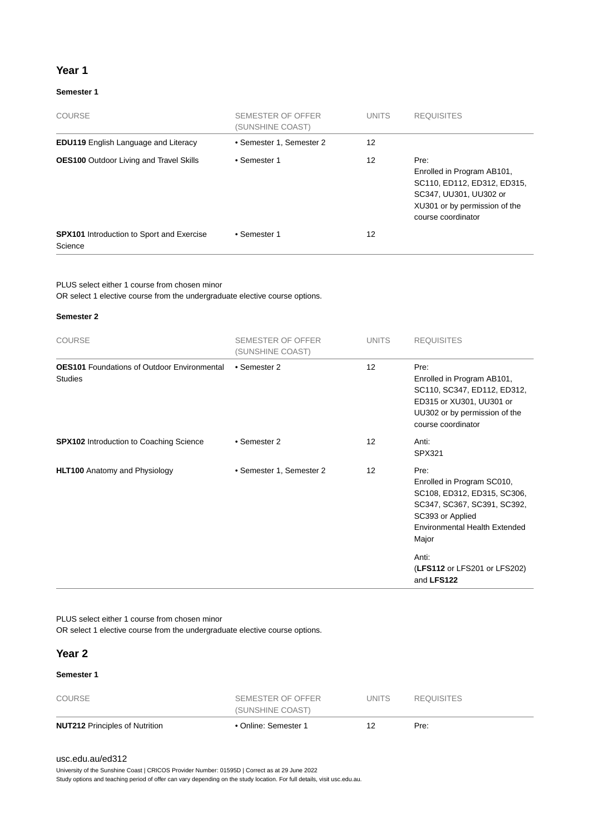#### **Year 1**

#### **Semester 1**

| COURSE                                                      | SEMESTER OF OFFER<br>(SUNSHINE COAST) | <b>UNITS</b> | <b>REQUISITES</b>                                                                                                                                  |
|-------------------------------------------------------------|---------------------------------------|--------------|----------------------------------------------------------------------------------------------------------------------------------------------------|
| <b>EDU119</b> English Language and Literacy                 | • Semester 1, Semester 2              | 12           |                                                                                                                                                    |
| <b>OES100</b> Outdoor Living and Travel Skills              | • Semester 1                          | 12           | Pre:<br>Enrolled in Program AB101,<br>SC110, ED112, ED312, ED315,<br>SC347, UU301, UU302 or<br>XU301 or by permission of the<br>course coordinator |
| <b>SPX101</b> Introduction to Sport and Exercise<br>Science | • Semester 1                          | 12           |                                                                                                                                                    |

PLUS select either 1 course from chosen minor

OR select 1 elective course from the undergraduate elective course options.

#### **Semester 2**

| <b>COURSE</b>                                                        | <b>SEMESTER OF OFFER</b><br>(SUNSHINE COAST) | <b>UNITS</b>    | <b>REQUISITES</b>                                                                                                                                                                                       |
|----------------------------------------------------------------------|----------------------------------------------|-----------------|---------------------------------------------------------------------------------------------------------------------------------------------------------------------------------------------------------|
| <b>OES101</b> Foundations of Outdoor Environmental<br><b>Studies</b> | • Semester 2                                 | 12              | Pre:<br>Enrolled in Program AB101,<br>SC110, SC347, ED112, ED312,<br>ED315 or XU301, UU301 or<br>UU302 or by permission of the<br>course coordinator                                                    |
| <b>SPX102</b> Introduction to Coaching Science                       | • Semester 2                                 | 12 <sup>2</sup> | Anti:<br>SPX321                                                                                                                                                                                         |
| <b>HLT100</b> Anatomy and Physiology                                 | • Semester 1, Semester 2                     | 12              | Pre:<br>Enrolled in Program SC010,<br>SC108, ED312, ED315, SC306,<br>SC347, SC367, SC391, SC392,<br>SC393 or Applied<br>Environmental Health Extended<br>Major<br>Anti:<br>(LFS112 or LFS201 or LFS202) |
|                                                                      |                                              |                 | and LFS122                                                                                                                                                                                              |

PLUS select either 1 course from chosen minor

OR select 1 elective course from the undergraduate elective course options.

#### **Year 2**

#### **Semester 1**

| <b>NUT212 Principles of Nutrition</b> | • Online: Semester 1 |        | Pre:              |  |
|---------------------------------------|----------------------|--------|-------------------|--|
|                                       | (SUNSHINE COAST)     |        |                   |  |
| COURSE                                | SEMESTER OF OFFER    | UNITS. | <b>REQUISITES</b> |  |

#### [usc.edu.au/ed312](https://www.usc.edu.au/ed312)

University of the Sunshine Coast | CRICOS Provider Number: 01595D | Correct as at 29 June 2022

Study options and teaching period of offer can vary depending on the study location. For full details, visit usc.edu.au.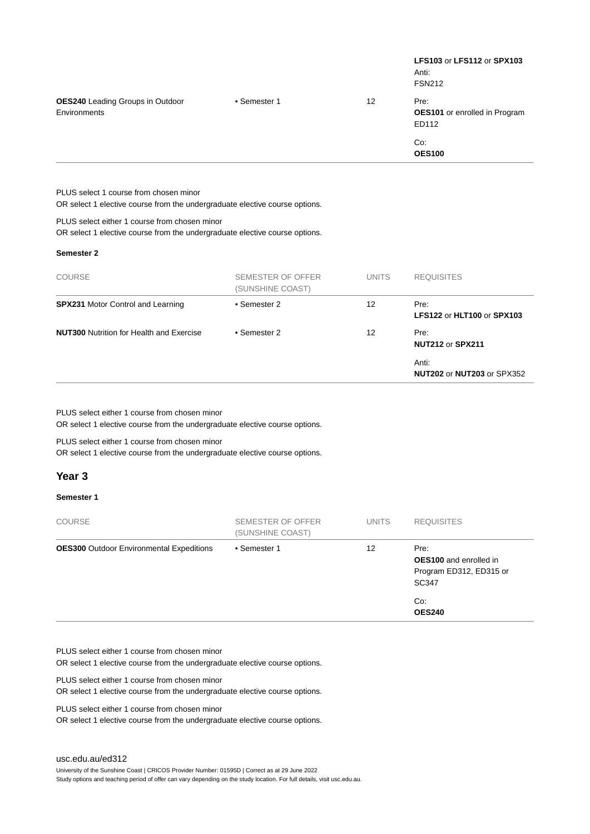|                                                                                                                              |              | LFS103 or LFS112 or SPX103<br>Anti:<br><b>FSN212</b> |
|------------------------------------------------------------------------------------------------------------------------------|--------------|------------------------------------------------------|
| • Semester 1                                                                                                                 | 12           | Pre:<br>OES101 or enrolled in Program<br>ED112       |
|                                                                                                                              |              | Co:<br><b>OES100</b>                                 |
|                                                                                                                              |              |                                                      |
| OR select 1 elective course from the undergraduate elective course options.                                                  |              |                                                      |
| PLUS select either 1 course from chosen minor<br>OR select 1 elective course from the undergraduate elective course options. |              |                                                      |
|                                                                                                                              |              |                                                      |
| SEMESTER OF OFFER<br>(SUNSHINE COAST)                                                                                        | <b>UNITS</b> | <b>REQUISITES</b>                                    |
| • Semester 2                                                                                                                 | 12           | Pre:<br>LFS122 or HLT100 or SPX103                   |
| • Semester 2                                                                                                                 | 12           | Pre:<br>NUT212 or SPX211                             |
|                                                                                                                              |              | Anti:<br><b>NUT202 or NUT203 or SPX352</b>           |
|                                                                                                                              |              |                                                      |

PLUS select either 1 course from chosen minor

OR select 1 elective course from the undergraduate elective course options.

PLUS select either 1 course from chosen minor OR select 1 elective course from the undergraduate elective course options.

#### **Year 3**

#### **Semester 1**

| <b>COURSE</b>                                   | SEMESTER OF OFFER<br>(SUNSHINE COAST) | <b>UNITS</b> | <b>REQUISITES</b>                                                                |
|-------------------------------------------------|---------------------------------------|--------------|----------------------------------------------------------------------------------|
| <b>OES300</b> Outdoor Environmental Expeditions | • Semester 1                          | 12           | Pre:<br><b>OES100</b> and enrolled in<br>Program ED312, ED315 or<br><b>SC347</b> |
|                                                 |                                       |              | Co:<br><b>OES240</b>                                                             |

PLUS select either 1 course from chosen minor

OR select 1 elective course from the undergraduate elective course options.

PLUS select either 1 course from chosen minor

OR select 1 elective course from the undergraduate elective course options.

PLUS select either 1 course from chosen minor

OR select 1 elective course from the undergraduate elective course options.

University of the Sunshine Coast | CRICOS Provider Number: 01595D | Correct as at 29 June 2022

Study options and teaching period of offer can vary depending on the study location. For full details, visit usc.edu.au.